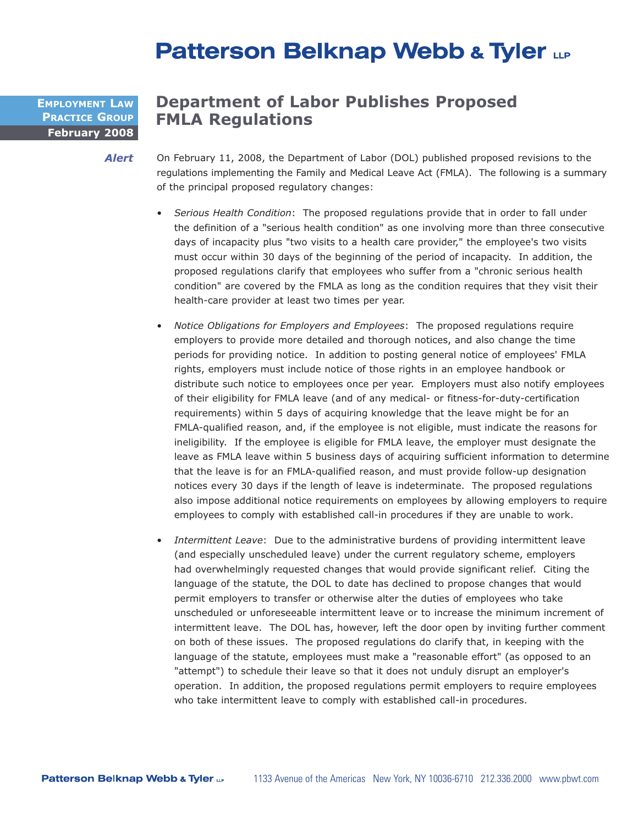## **Patterson Belknap Webb & Tyler LLP**

**February 2008 EMPLOYMENT LAW PRACTICE GROUP**

## **Department of Labor Publishes Proposed FMLA Regulations**

On February 11, 2008, the Department of Labor (DOL) published proposed revisions to the regulations implementing the Family and Medical Leave Act (FMLA). The following is a summary of the principal proposed regulatory changes: *Alert*

- *Serious Health Condition*: The proposed regulations provide that in order to fall under the definition of a "serious health condition" as one involving more than three consecutive days of incapacity plus "two visits to a health care provider," the employee's two visits must occur within 30 days of the beginning of the period of incapacity. In addition, the proposed regulations clarify that employees who suffer from a "chronic serious health condition" are covered by the FMLA as long as the condition requires that they visit their health-care provider at least two times per year.
- *Notice Obligations for Employers and Employees*: The proposed regulations require employers to provide more detailed and thorough notices, and also change the time periods for providing notice. In addition to posting general notice of employees' FMLA rights, employers must include notice of those rights in an employee handbook or distribute such notice to employees once per year. Employers must also notify employees of their eligibility for FMLA leave (and of any medical- or fitness-for-duty-certification requirements) within 5 days of acquiring knowledge that the leave might be for an FMLA-qualified reason, and, if the employee is not eligible, must indicate the reasons for ineligibility. If the employee is eligible for FMLA leave, the employer must designate the leave as FMLA leave within 5 business days of acquiring sufficient information to determine that the leave is for an FMLA-qualified reason, and must provide follow-up designation notices every 30 days if the length of leave is indeterminate. The proposed regulations also impose additional notice requirements on employees by allowing employers to require employees to comply with established call-in procedures if they are unable to work.
- *Intermittent Leave*: Due to the administrative burdens of providing intermittent leave (and especially unscheduled leave) under the current regulatory scheme, employers had overwhelmingly requested changes that would provide significant relief. Citing the language of the statute, the DOL to date has declined to propose changes that would permit employers to transfer or otherwise alter the duties of employees who take unscheduled or unforeseeable intermittent leave or to increase the minimum increment of intermittent leave. The DOL has, however, left the door open by inviting further comment on both of these issues. The proposed regulations do clarify that, in keeping with the language of the statute, employees must make a "reasonable effort" (as opposed to an "attempt") to schedule their leave so that it does not unduly disrupt an employer's operation. In addition, the proposed regulations permit employers to require employees who take intermittent leave to comply with established call-in procedures.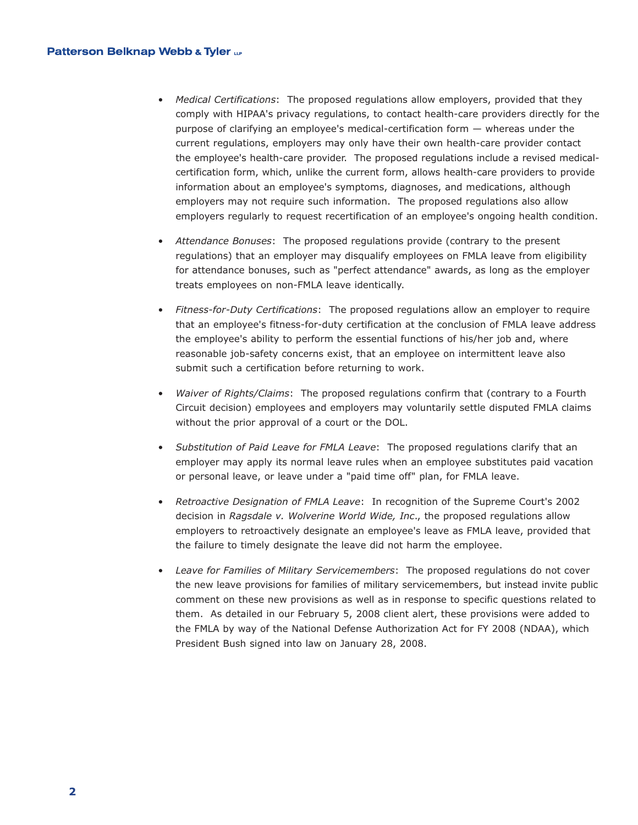- *Medical Certifications*: The proposed regulations allow employers, provided that they comply with HIPAA's privacy regulations, to contact health-care providers directly for the purpose of clarifying an employee's medical-certification form — whereas under the current regulations, employers may only have their own health-care provider contact the employee's health-care provider. The proposed regulations include a revised medicalcertification form, which, unlike the current form, allows health-care providers to provide information about an employee's symptoms, diagnoses, and medications, although employers may not require such information. The proposed regulations also allow employers regularly to request recertification of an employee's ongoing health condition.
- *Attendance Bonuses*: The proposed regulations provide (contrary to the present regulations) that an employer may disqualify employees on FMLA leave from eligibility for attendance bonuses, such as "perfect attendance" awards, as long as the employer treats employees on non-FMLA leave identically.
- *Fitness-for-Duty Certifications*: The proposed regulations allow an employer to require that an employee's fitness-for-duty certification at the conclusion of FMLA leave address the employee's ability to perform the essential functions of his/her job and, where reasonable job-safety concerns exist, that an employee on intermittent leave also submit such a certification before returning to work.
- *Waiver of Rights/Claims*: The proposed regulations confirm that (contrary to a Fourth Circuit decision) employees and employers may voluntarily settle disputed FMLA claims without the prior approval of a court or the DOL.
- *Substitution of Paid Leave for FMLA Leave*: The proposed regulations clarify that an employer may apply its normal leave rules when an employee substitutes paid vacation or personal leave, or leave under a "paid time off" plan, for FMLA leave.
- *Retroactive Designation of FMLA Leave*: In recognition of the Supreme Court's 2002 decision in *Ragsdale v. Wolverine World Wide, Inc*., the proposed regulations allow employers to retroactively designate an employee's leave as FMLA leave, provided that the failure to timely designate the leave did not harm the employee.
- *Leave for Families of Military Servicemembers*: The proposed regulations do not cover the new leave provisions for families of military servicemembers, but instead invite public comment on these new provisions as well as in response to specific questions related to them. As detailed in our February 5, 2008 client alert, these provisions were added to the FMLA by way of the National Defense Authorization Act for FY 2008 (NDAA), which President Bush signed into law on January 28, 2008.